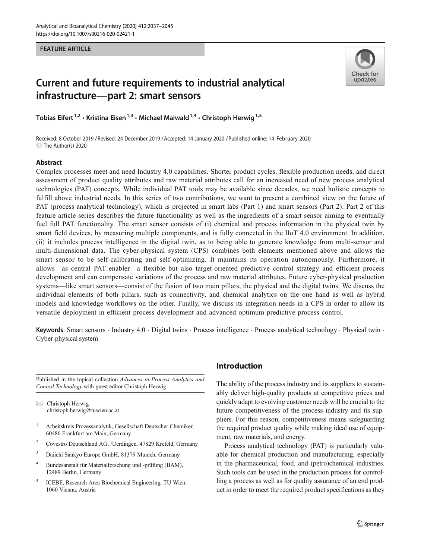#### FEATURE ARTICLE



# Current and future requirements to industrial analytical infrastructure—part 2: smart sensors

Tobias Eifert <sup>1,2</sup>  $\cdot$  Kristina Eisen<sup>1,3</sup>  $\cdot$  Michael Maiwald <sup>1,4</sup>  $\cdot$  Christoph Herwig<sup>1,5</sup>

Received: 8 October 2019 / Revised: 24 December 2019 /Accepted: 14 January 2020 /Published online: 14 February 2020C The Author(s) 2020

#### Abstract

Complex processes meet and need Industry 4.0 capabilities. Shorter product cycles, flexible production needs, and direct assessment of product quality attributes and raw material attributes call for an increased need of new process analytical technologies (PAT) concepts. While individual PAT tools may be available since decades, we need holistic concepts to fulfill above industrial needs. In this series of two contributions, we want to present a combined view on the future of PAT (process analytical technology), which is projected in smart labs (Part 1) and smart sensors (Part 2). Part 2 of this feature article series describes the future functionality as well as the ingredients of a smart sensor aiming to eventually fuel full PAT functionality. The smart sensor consists of (i) chemical and process information in the physical twin by smart field devices, by measuring multiple components, and is fully connected in the IIoT 4.0 environment. In addition, (ii) it includes process intelligence in the digital twin, as to being able to generate knowledge from multi-sensor and multi-dimensional data. The cyber-physical system (CPS) combines both elements mentioned above and allows the smart sensor to be self-calibrating and self-optimizing. It maintains its operation autonomously. Furthermore, it allows—as central PAT enabler—a flexible but also target-oriented predictive control strategy and efficient process development and can compensate variations of the process and raw material attributes. Future cyber-physical production systems—like smart sensors—consist of the fusion of two main pillars, the physical and the digital twins. We discuss the individual elements of both pillars, such as connectivity, and chemical analytics on the one hand as well as hybrid models and knowledge workflows on the other. Finally, we discuss its integration needs in a CPS in order to allow its versatile deployment in efficient process development and advanced optimum predictive process control.

Keywords Smart sensors · Industry 4.0 · Digital twins · Process intelligence · Process analytical technology · Physical twin · Cyber-physical system

Published in the topical collection Advances in Process Analytics and Control Technology with guest editor Christoph Herwig.

 $\boxtimes$  Christoph Herwig [christoph.herwig@tuwien.ac.at](mailto:christoph.herwig@tuwien.ac.at)

- <sup>1</sup> Arbeitskreis Prozessanalytik, Gesellschaft Deutscher Chemiker, 60486 Frankfurt am Main, Germany
- <sup>2</sup> Covestro Deutschland AG, /Uerdingen, 47829 Krefeld, Germany
- <sup>3</sup> Daiichi Sankyo Europe GmbH, 81379 Munich, Germany
- <sup>4</sup> Bundesanstalt für Materialforschung und -prüfung (BAM), 12489 Berlin, Germany
- <sup>5</sup> ICEBE, Research Area Biochemical Engineering, TU Wien, 1060 Vienna, Austria

# Introduction

The ability of the process industry and its suppliers to sustainably deliver high-quality products at competitive prices and quickly adapt to evolving customer needs will be crucial to the future competitiveness of the process industry and its suppliers. For this reason, competitiveness means safeguarding the required product quality while making ideal use of equipment, raw materials, and energy.

Process analytical technology (PAT) is particularly valuable for chemical production and manufacturing, especially in the pharmaceutical, food, and (petro)chemical industries. Such tools can be used in the production process for controlling a process as well as for quality assurance of an end product in order to meet the required product specifications as they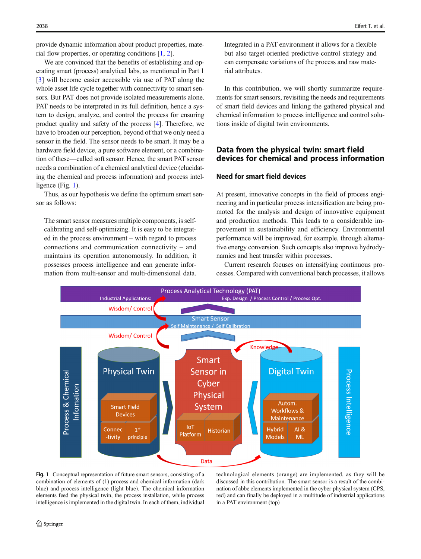provide dynamic information about product properties, material flow properties, or operating conditions [\[1](#page-7-0), [2](#page-7-0)].

We are convinced that the benefits of establishing and operating smart (process) analytical labs, as mentioned in Part 1 [\[3](#page-7-0)] will become easier accessible via use of PAT along the whole asset life cycle together with connectivity to smart sensors. But PAT does not provide isolated measurements alone. PAT needs to be interpreted in its full definition, hence a system to design, analyze, and control the process for ensuring product quality and safety of the process [\[4](#page-7-0)]. Therefore, we have to broaden our perception, beyond of that we only need a sensor in the field. The sensor needs to be smart. It may be a hardware field device, a pure software element, or a combination of these—called soft sensor. Hence, the smart PAT sensor needs a combination of a chemical analytical device (elucidating the chemical and process information) and process intelligence (Fig. 1).

Thus, as our hypothesis we define the optimum smart sensor as follows:

The smart sensor measures multiple components, is selfcalibrating and self-optimizing. It is easy to be integrated in the process environment – with regard to process connections and communication connectivity – and maintains its operation autonomously. In addition, it possesses process intelligence and can generate information from multi-sensor and multi-dimensional data. Integrated in a PAT environment it allows for a flexible but also target-oriented predictive control strategy and can compensate variations of the process and raw material attributes.

In this contribution, we will shortly summarize requirements for smart sensors, revisiting the needs and requirements of smart field devices and linking the gathered physical and chemical information to process intelligence and control solutions inside of digital twin environments.

# Data from the physical twin: smart field devices for chemical and process information

# Need for smart field devices

At present, innovative concepts in the field of process engineering and in particular process intensification are being promoted for the analysis and design of innovative equipment and production methods. This leads to a considerable improvement in sustainability and efficiency. Environmental performance will be improved, for example, through alternative energy conversion. Such concepts also improve hydrodynamics and heat transfer within processes.

Current research focuses on intensifying continuous processes. Compared with conventional batch processes, it allows



Fig. 1 Conceptual representation of future smart sensors, consisting of a combination of elements of (1) process and chemical information (dark blue) and process intelligence (light blue). The chemical information elements feed the physical twin, the process installation, while process intelligence is implemented in the digital twin. In each of them, individual

technological elements (orange) are implemented, as they will be discussed in this contribution. The smart sensor is a result of the combination of abbe elements implemented in the cyber-physical system (CPS, red) and can finally be deployed in a multitude of industrial applications in a PAT environment (top)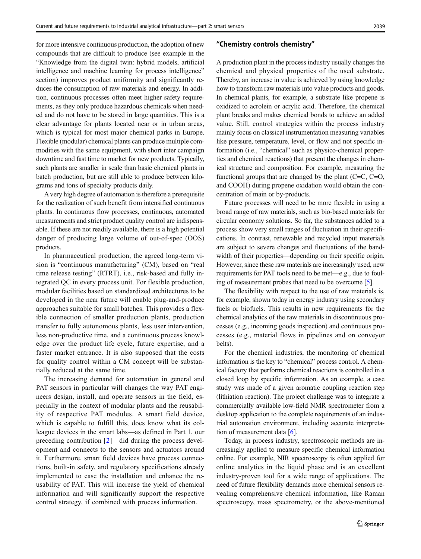for more intensive continuous production, the adoption of new compounds that are difficult to produce (see example in the "Knowledge from the digital twin: hybrid models, artificial intelligence and machine learning for process intelligence" section) improves product uniformity and significantly reduces the consumption of raw materials and energy. In addition, continuous processes often meet higher safety requirements, as they only produce hazardous chemicals when needed and do not have to be stored in large quantities. This is a clear advantage for plants located near or in urban areas, which is typical for most major chemical parks in Europe. Flexible (modular) chemical plants can produce multiple commodities with the same equipment, with short inter campaign downtime and fast time to market for new products. Typically, such plants are smaller in scale than basic chemical plants in batch production, but are still able to produce between kilograms and tons of specialty products daily.

A very high degree of automation is therefore a prerequisite for the realization of such benefit from intensified continuous plants. In continuous flow processes, continuous, automated measurements and strict product quality control are indispensable. If these are not readily available, there is a high potential danger of producing large volume of out-of-spec (OOS) products.

In pharmaceutical production, the agreed long-term vision is "continuous manufacturing" (CM), based on "real time release testing" (RTRT), i.e., risk-based and fully integrated QC in every process unit. For flexible production, modular facilities based on standardized architectures to be developed in the near future will enable plug-and-produce approaches suitable for small batches. This provides a flexible connection of smaller production plants, production transfer to fully autonomous plants, less user intervention, less non-productive time, and a continuous process knowledge over the product life cycle, future expertise, and a faster market entrance. It is also supposed that the costs for quality control within a CM concept will be substantially reduced at the same time.

The increasing demand for automation in general and PAT sensors in particular will changes the way PAT engineers design, install, and operate sensors in the field, especially in the context of modular plants and the reusability of respective PAT modules. A smart field device, which is capable to fulfill this, does know what its colleague devices in the smart labs—as defined in Part 1, our preceding contribution [\[2](#page-7-0)]—did during the process development and connects to the sensors and actuators around it. Furthermore, smart field devices have process connections, built-in safety, and regulatory specifications already implemented to ease the installation and enhance the reusability of PAT. This will increase the yield of chemical information and will significantly support the respective control strategy, if combined with process information.

#### "Chemistry controls chemistry"

A production plant in the process industry usually changes the chemical and physical properties of the used substrate. Thereby, an increase in value is achieved by using knowledge how to transform raw materials into value products and goods. In chemical plants, for example, a substrate like propene is oxidized to acrolein or acrylic acid. Therefore, the chemical plant breaks and makes chemical bonds to achieve an added value. Still, control strategies within the process industry mainly focus on classical instrumentation measuring variables like pressure, temperature, level, or flow and not specific information (i.e., "chemical" such as physico-chemical properties and chemical reactions) that present the changes in chemical structure and composition. For example, measuring the functional groups that are changed by the plant (C=C, C=O, and COOH) during propene oxidation would obtain the concentration of main or by-products.

Future processes will need to be more flexible in using a broad range of raw materials, such as bio-based materials for circular economy solutions. So far, the substances added to a process show very small ranges of fluctuation in their specifications. In contrast, renewable and recycled input materials are subject to severe changes and fluctuations of the bandwidth of their properties—depending on their specific origin. However, since these raw materials are increasingly used, new requirements for PAT tools need to be met—e.g., due to fouling of measurement probes that need to be overcome [[5\]](#page-7-0).

The flexibility with respect to the use of raw materials is, for example, shown today in energy industry using secondary fuels or biofuels. This results in new requirements for the chemical analytics of the raw materials in discontinuous processes (e.g., incoming goods inspection) and continuous processes (e.g., material flows in pipelines and on conveyor belts).

For the chemical industries, the monitoring of chemical information is the key to "chemical" process control. A chemical factory that performs chemical reactions is controlled in a closed loop by specific information. As an example, a case study was made of a given aromatic coupling reaction step (lithiation reaction). The project challenge was to integrate a commercially available low-field NMR spectrometer from a desktop application to the complete requirements of an industrial automation environment, including accurate interpretation of measurement data [[6](#page-7-0)].

Today, in process industry, spectroscopic methods are increasingly applied to measure specific chemical information online. For example, NIR spectroscopy is often applied for online analytics in the liquid phase and is an excellent industry-proven tool for a wide range of applications. The need of future flexibility demands more chemical sensors revealing comprehensive chemical information, like Raman spectroscopy, mass spectrometry, or the above-mentioned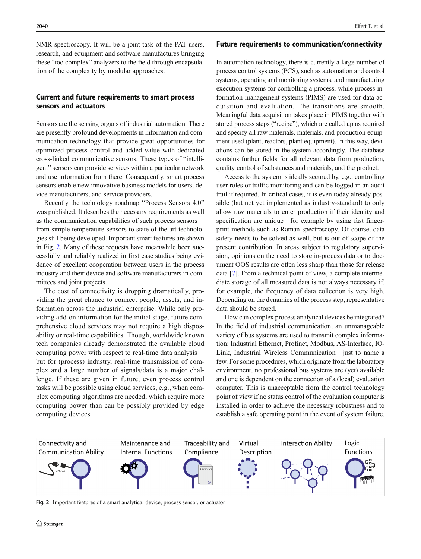NMR spectroscopy. It will be a joint task of the PAT users, research, and equipment and software manufactures bringing these "too complex" analyzers to the field through encapsulation of the complexity by modular approaches.

# Current and future requirements to smart process sensors and actuators

Sensors are the sensing organs of industrial automation. There are presently profound developments in information and communication technology that provide great opportunities for optimized process control and added value with dedicated cross-linked communicative sensors. These types of "intelligent" sensors can provide services within a particular network and use information from there. Consequently, smart process sensors enable new innovative business models for users, device manufacturers, and service providers.

Recently the technology roadmap "Process Sensors 4.0" was published. It describes the necessary requirements as well as the communication capabilities of such process sensors from simple temperature sensors to state-of-the-art technologies still being developed. Important smart features are shown in Fig. 2. Many of these requests have meanwhile been successfully and reliably realized in first case studies being evidence of excellent cooperation between users in the process industry and their device and software manufacturers in committees and joint projects.

The cost of connectivity is dropping dramatically, providing the great chance to connect people, assets, and information across the industrial enterprise. While only providing add-on information for the initial stage, future comprehensive cloud services may not require a high disposability or real-time capabilities. Though, worldwide known tech companies already demonstrated the available cloud computing power with respect to real-time data analysis but for (process) industry, real-time transmission of complex and a large number of signals/data is a major challenge. If these are given in future, even process control tasks will be possible using cloud services, e.g., when complex computing algorithms are needed, which require more computing power than can be possibly provided by edge computing devices.

#### Future requirements to communication/connectivity

In automation technology, there is currently a large number of process control systems (PCS), such as automation and control systems, operating and monitoring systems, and manufacturing execution systems for controlling a process, while process information management systems (PIMS) are used for data acquisition and evaluation. The transitions are smooth. Meaningful data acquisition takes place in PIMS together with stored process steps ("recipe"), which are called up as required and specify all raw materials, materials, and production equipment used (plant, reactors, plant equipment). In this way, deviations can be stored in the system accordingly. The database contains further fields for all relevant data from production, quality control of substances and materials, and the product.

Access to the system is ideally secured by, e.g., controlling user roles or traffic monitoring and can be logged in an audit trail if required. In critical cases, it is even today already possible (but not yet implemented as industry-standard) to only allow raw materials to enter production if their identity and specification are unique—for example by using fast fingerprint methods such as Raman spectroscopy. Of course, data safety needs to be solved as well, but is out of scope of the present contribution. In areas subject to regulatory supervision, opinions on the need to store in-process data or to document OOS results are often less sharp than those for release data [\[7\]](#page-7-0). From a technical point of view, a complete intermediate storage of all measured data is not always necessary if, for example, the frequency of data collection is very high. Depending on the dynamics of the process step, representative data should be stored.

How can complex process analytical devices be integrated? In the field of industrial communication, an unmanageable variety of bus systems are used to transmit complex information: Industrial Ethernet, Profinet, Modbus, AS-Interface, IO-Link, Industrial Wireless Communication—just to name a few. For some procedures, which originate from the laboratory environment, no professional bus systems are (yet) available and one is dependent on the connection of a (local) evaluation computer. This is unacceptable from the control technology point of view if no status control of the evaluation computer is installed in order to achieve the necessary robustness and to establish a safe operating point in the event of system failure.



Fig. 2 Important features of a smart analytical device, process sensor, or actuator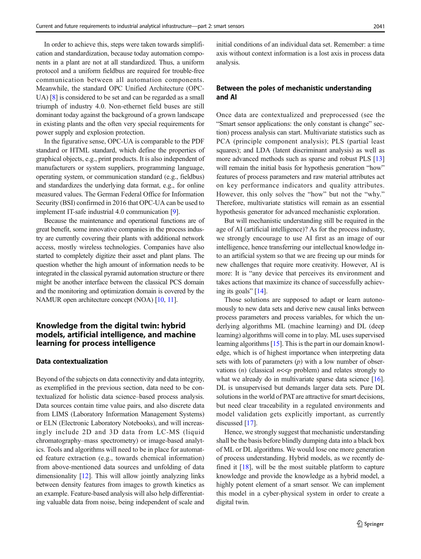In order to achieve this, steps were taken towards simplification and standardization, because today automation components in a plant are not at all standardized. Thus, a uniform protocol and a uniform fieldbus are required for trouble-free communication between all automation components. Meanwhile, the standard OPC Unified Architecture (OPC-UA) [[8\]](#page-7-0) is considered to be set and can be regarded as a small triumph of industry 4.0. Non-ethernet field buses are still dominant today against the background of a grown landscape in existing plants and the often very special requirements for power supply and explosion protection.

In the figurative sense, OPC-UA is comparable to the PDF standard or HTML standard, which define the properties of graphical objects, e.g., print products. It is also independent of manufacturers or system suppliers, programming language, operating system, or communication standard (e.g., fieldbus) and standardizes the underlying data format, e.g., for online measured values. The German Federal Office for Information Security (BSI) confirmed in 2016 that OPC-UA can be used to implement IT-safe industrial 4.0 communication [\[9](#page-7-0)].

Because the maintenance and operational functions are of great benefit, some innovative companies in the process industry are currently covering their plants with additional network access, mostly wireless technologies. Companies have also started to completely digitize their asset and plant plans. The question whether the high amount of information needs to be integrated in the classical pyramid automation structure or there might be another interface between the classical PCS domain and the monitoring and optimization domain is covered by the NAMUR open architecture concept (NOA) [\[10,](#page-7-0) [11](#page-7-0)].

# Knowledge from the digital twin: hybrid models, artificial intelligence, and machine learning for process intelligence

### Data contextualization

Beyond of the subjects on data connectivity and data integrity, as exemplified in the previous section, data need to be contextualized for holistic data science–based process analysis. Data sources contain time value pairs, and also discrete data from LIMS (Laboratory Information Management Systems) or ELN (Electronic Laboratory Notebooks), and will increasingly include 2D and 3D data from LC-MS (liquid chromatography–mass spectrometry) or image-based analytics. Tools and algorithms will need to be in place for automated feature extraction (e.g., towards chemical information) from above-mentioned data sources and unfolding of data dimensionality [[12](#page-7-0)]. This will allow jointly analyzing links between density features from images to growth kinetics as an example. Feature-based analysis will also help differentiating valuable data from noise, being independent of scale and initial conditions of an individual data set. Remember: a time axis without context information is a lost axis in process data analysis.

# Between the poles of mechanistic understanding and AI

Once data are contextualized and preprocessed (see the "Smart sensor applications: the only constant is change" section) process analysis can start. Multivariate statistics such as PCA (principle component analysis); PLS (partial least squares); and LDA (latent discriminant analysis) as well as more advanced methods such as sparse and robust PLS [\[13](#page-7-0)] will remain the initial basis for hypothesis generation "how" features of process parameters and raw material attributes act on key performance indicators and quality attributes. However, this only solves the "how" but not the "why." Therefore, multivariate statistics will remain as an essential hypothesis generator for advanced mechanistic exploration.

But will mechanistic understanding still be required in the age of AI (artificial intelligence)? As for the process industry, we strongly encourage to use AI first as an image of our intelligence, hence transferring our intellectual knowledge into an artificial system so that we are freeing up our minds for new challenges that require more creativity. However, AI is more: It is "any device that perceives its environment and takes actions that maximize its chance of successfully achieving its goals"  $[14]$  $[14]$ .

Those solutions are supposed to adapt or learn autonomously to new data sets and derive new causal links between process parameters and process variables, for which the underlying algorithms ML (machine learning) and DL (deep learning) algorithms will come in to play. ML uses supervised learning algorithms [\[15\]](#page-7-0). This is the part in our domain knowledge, which is of highest importance when interpreting data sets with lots of parameters  $(p)$  with a low number of observations (*n*) (classical  $n \lt p$  problem) and relates strongly to what we already do in multivariate sparse data science [[16\]](#page-7-0). DL is unsupervised but demands larger data sets. Pure DL solutions in the world of PAT are attractive for smart decisions, but need clear traceability in a regulated environments and model validation gets explicitly important, as currently discussed [\[17\]](#page-7-0).

Hence, we strongly suggest that mechanistic understanding shall be the basis before blindly dumping data into a black box of ML or DL algorithms. We would lose one more generation of process understanding. Hybrid models, as we recently defined it [\[18](#page-7-0)], will be the most suitable platform to capture knowledge and provide the knowledge as a hybrid model, a highly potent element of a smart sensor. We can implement this model in a cyber-physical system in order to create a digital twin.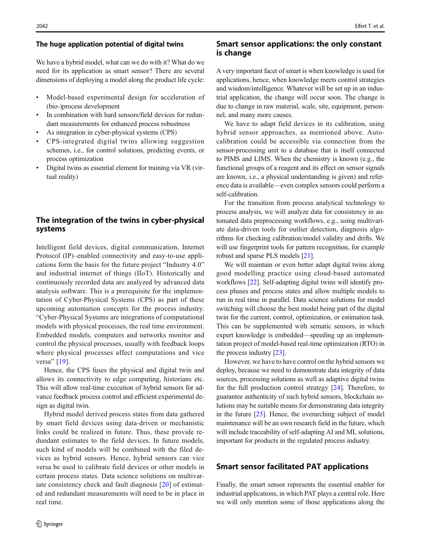#### The huge application potential of digital twins

We have a hybrid model, what can we do with it? What do we need for its application as smart sensor? There are several dimensions of deploying a model along the product life cycle:

- & Model-based experimental design for acceleration of (bio-)process development
- In combination with hard sensors/field devices for redundant measurements for enhanced process robustness
- As integration in cyber-physical systems (CPS)
- & CPS-integrated digital twins allowing suggestion schemes, i.e., for control solutions, predicting events, or process optimization
- Digital twins as essential element for training via VR (virtual reality)

# The integration of the twins in cyber-physical systems

Intelligent field devices, digital communication, Internet Protocol (IP)–enabled connectivity and easy-to-use applications form the basis for the future project "Industry 4.0" and industrial internet of things (IIoT). Historically and continuously recorded data are analyzed by advanced data analysis software. This is a prerequisite for the implementation of Cyber-Physical Systems (CPS) as part of these upcoming automation concepts for the process industry. "Cyber-Physical Systems are integrations of computational models with physical processes, the real time environment. Embedded models, computers and networks monitor and control the physical processes, usually with feedback loops where physical processes affect computations and vice versa" [[19](#page-7-0)].

Hence, the CPS fuses the physical and digital twin and allows its connectivity to edge computing, historians etc. This will allow real-time execution of hybrid sensors for advance feedback process control and efficient experimental design as digital twin.

Hybrid model derived process states from data gathered by smart field devices using data-driven or mechanistic links could be realized in future. Thus, these provide redundant estimates to the field devices. In future models, such kind of models will be combined with the filed devices as hybrid sensors. Hence, hybrid sensors can vice versa be used to calibrate field devices or other models in certain process states. Data science solutions on multivariate consistency check and fault diagnosis [[20](#page-7-0)] of estimated and redundant measurements will need to be in place in real time.

# 2042 Eifert T. et al.

# Smart sensor applications: the only constant is change

A very important facet of smart is when knowledge is used for applications, hence, when knowledge meets control strategies and wisdom/intelligence. Whatever will be set up in an industrial application, the change will occur soon. The change is due to change in raw material, scale, site, equipment, personnel, and many more causes.

We have to adapt field devices in its calibration, using hybrid sensor approaches, as mentioned above. Autocalibration could be accessible via connection from the sensor-processing unit to a database that is itself connected to PIMS and LIMS. When the chemistry is known (e.g., the functional groups of a reagent and its effect on sensor signals are known, i.e., a physical understanding is given) and reference data is available—even complex sensors could perform a self-calibration.

For the transition from process analytical technology to process analysis, we will analyze data for consistency in automated data preprocessing workflows, e.g., using multivariate data-driven tools for outlier detection, diagnosis algorithms for checking calibration/model validity and drifts. We will use fingerprint tools for pattern recognition, for example robust and sparse PLS models [[21](#page-7-0)].

We will maintain or even better adapt digital twins along good modelling practice using cloud-based automated workflows [[22](#page-7-0)]. Self-adapting digital twins will identify process phases and process states and allow multiple models to run in real time in parallel. Data science solutions for model switching will choose the best model being part of the digital twin for the current, control, optimization, or estimation task. This can be supplemented with sematic sensors, in which expert knowledge is embedded—speeding up an implementation project of model-based real-time optimization (RTO) in the process industry [[23](#page-7-0)].

However, we have to have control on the hybrid sensors we deploy, because we need to demonstrate data integrity of data sources, processing solutions as well as adaptive digital twins for the full production control strategy [[24\]](#page-8-0). Therefore, to guarantee authenticity of such hybrid sensors, blockchain solutions may be suitable means for demonstrating data integrity in the future  $[25]$  $[25]$ . Hence, the overarching subject of model maintenance will be an own research field in the future, which will include traceability of self-adapting AI and ML solutions, important for products in the regulated process industry.

# Smart sensor facilitated PAT applications

Finally, the smart sensor represents the essential enabler for industrial applications, in which PAT plays a central role. Here we will only mention some of those applications along the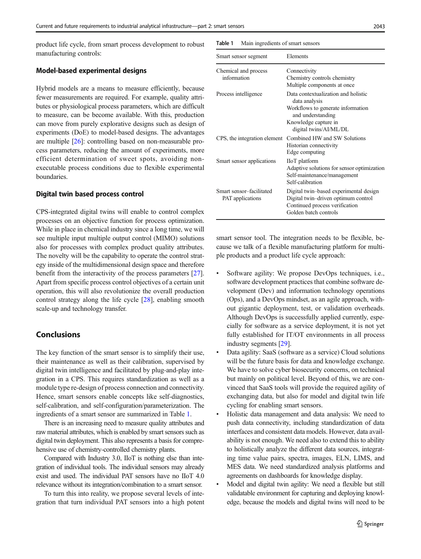product life cycle, from smart process development to robust manufacturing controls:

#### Model-based experimental designs

Hybrid models are a means to measure efficiently, because fewer measurements are required. For example, quality attributes or physiological process parameters, which are difficult to measure, can be become available. With this, production can move from purely explorative designs such as design of experiments (DoE) to model-based designs. The advantages are multiple [[26](#page-8-0)]: controlling based on non-measurable process parameters, reducing the amount of experiments, more efficient determination of sweet spots, avoiding nonexecutable process conditions due to flexible experimental boundaries.

#### Digital twin based process control

CPS-integrated digital twins will enable to control complex processes on an objective function for process optimization. While in place in chemical industry since a long time, we will see multiple input multiple output control (MIMO) solutions also for processes with complex product quality attributes. The novelty will be the capability to operate the control strategy inside of the multidimensional design space and therefore benefit from the interactivity of the process parameters [[27\]](#page-8-0). Apart from specific process control objectives of a certain unit operation, this will also revolutionize the overall production control strategy along the life cycle [\[28\]](#page-8-0), enabling smooth scale-up and technology transfer.

### Conclusions

The key function of the smart sensor is to simplify their use, their maintenance as well as their calibration, supervised by digital twin intelligence and facilitated by plug-and-play integration in a CPS. This requires standardization as well as a module type re-design of process connection and connectivity. Hence, smart sensors enable concepts like self-diagnostics, self-calibration, and self-configuration/parameterization. The ingredients of a smart sensor are summarized in Table 1.

There is an increasing need to measure quality attributes and raw material attributes, which is enabled by smart sensors such as digital twin deployment. This also represents a basis for comprehensive use of chemistry-controlled chemistry plants.

Compared with Industry 3.0, IIoT is nothing else than integration of individual tools. The individual sensors may already exist and used. The individual PAT sensors have no IIoT 4.0 relevance without its integration/combination to a smart sensor.

To turn this into reality, we propose several levels of integration that turn individual PAT sensors into a high potent Table 1 Main ingredients of smart sensors

| Smart sensor segment                                | Elements                                                                                                                                                         |
|-----------------------------------------------------|------------------------------------------------------------------------------------------------------------------------------------------------------------------|
| Chemical and process<br>information                 | Connectivity<br>Chemistry controls chemistry<br>Multiple components at once                                                                                      |
| Process intelligence                                | Data contextualization and holistic<br>data analysis<br>Workflows to generate information<br>and understanding<br>Knowledge capture in<br>digital twins/AI/ML/DL |
| CPS, the integration element                        | Combined HW and SW Solutions<br>Historian connectivity<br>Edge computing                                                                                         |
| Smart sensor applications                           | <b>IIoT</b> platform<br>Adaptive solutions for sensor optimization<br>Self-maintenance/management<br>Self-calibration                                            |
| Smart sensor-facilitated<br><b>PAT</b> applications | Digital twin-based experimental design<br>Digital twin-driven optimum control<br>Continued process verification<br>Golden batch controls                         |

smart sensor tool. The integration needs to be flexible, because we talk of a flexible manufacturing platform for multiple products and a product life cycle approach:

- & Software agility: We propose DevOps techniques, i.e., software development practices that combine software development (Dev) and information technology operations (Ops), and a DevOps mindset, as an agile approach, without gigantic deployment, test, or validation overheads. Although DevOps is successfully applied currently, especially for software as a service deployment, it is not yet fully established for IT/OT environments in all process industry segments [\[29\]](#page-8-0).
- Data agility: SaaS (software as a service) Cloud solutions will be the future basis for data and knowledge exchange. We have to solve cyber biosecurity concerns, on technical but mainly on political level. Beyond of this, we are convinced that SaaS tools will provide the required agility of exchanging data, but also for model and digital twin life cycling for enabling smart sensors.
- Holistic data management and data analysis: We need to push data connectivity, including standardization of data interfaces and consistent data models. However, data availability is not enough. We need also to extend this to ability to holistically analyze the different data sources, integrating time value pairs, spectra, images, ELN, LIMS, and MES data. We need standardized analysis platforms and agreements on dashboards for knowledge display.
- & Model and digital twin agility: We need a flexible but still validatable environment for capturing and deploying knowledge, because the models and digital twins will need to be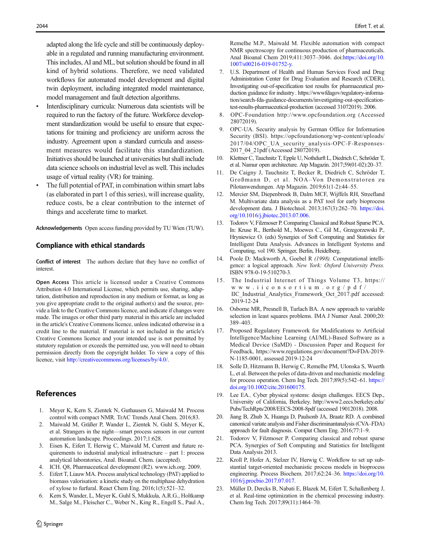<span id="page-7-0"></span>adapted along the life cycle and still be continuously deployable in a regulated and running manufacturing environment. This includes, AI and ML, but solution should be found in all kind of hybrid solutions. Therefore, we need validated workflows for automated model development and digital twin deployment, including integrated model maintenance, model management and fault detection algorithms.

- & Interdisciplinary curricula: Numerous data scientists will be required to run the factory of the future. Workforce development standardization would be useful to ensure that expectations for training and proficiency are uniform across the industry. Agreement upon a standard curricula and assessment measures would facilitate this standardization. Initiatives should be launched at universities but shall include data science schools on industrial level as well. This includes usage of virtual reality (VR) for training.
- The full potential of PAT, in combination within smart labs (as elaborated in part 1 of this series), will increase quality, reduce costs, be a clear contribution to the internet of things and accelerate time to market.

Acknowledgements Open access funding provided by TU Wien (TUW).

#### Compliance with ethical standards

Conflict of interest The authors declare that they have no conflict of interest.

Open Access This article is licensed under a Creative Commons Attribution 4.0 International License, which permits use, sharing, adaptation, distribution and reproduction in any medium or format, as long as you give appropriate credit to the original author(s) and the source, provide a link to the Creative Commons licence, and indicate if changes were made. The images or other third party material in this article are included in the article's Creative Commons licence, unless indicated otherwise in a credit line to the material. If material is not included in the article's Creative Commons licence and your intended use is not permitted by statutory regulation or exceeds the permitted use, you will need to obtain permission directly from the copyright holder. To view a copy of this licence, visit <http://creativecommons.org/licenses/by/4.0/>.

# **References**

- 1. Meyer K, Kern S, Zientek N, Guthausen G, Maiwald M. Process control with compact NMR. TrAC Trends Anal Chem. 2016;83.
- 2. Maiwald M, Gräßer P, Wander L, Zientek N, Guhl S, Meyer K, et al. Strangers in the night—smart process sensors in our current automation landscape. Proceedings. 2017;1:628.
- 3. Eisen K, Eifert T, Herwig C, Maiwald M, Current and future requirements to industrial analytical infrastructure – part 1: process analytical laboratories, Anal. Bioanal. Chem. (accepted).
- 4. ICH. Q8, Pharmaceutical development (R2). www.ich.org. 2009.
- 5. Eifert T, Liauw MA. Process analytical technology (PAT) applied to biomass valorisation: a kinetic study on the multiphase dehydration of xylose to furfural. React Chem Eng. 2016;1(5):521–32.
- 6. Kern S, Wander, L, Meyer K, Guhl S, Mukkula, A.R.G., Holtkamp M., Salge M., Fleischer C., Weber N., King R., Engell S., Paul A.,

Remelhe M.P., Maiwald M. Flexible automation with compact NMR spectroscopy for continuous production of pharmaceuticals. Anal Bioanal Chem 2019;411:3037–3046. doi[:https://doi.org/10.](https://doi.org/10.1007/s00216-019-01752-y) [1007/s00216-019-01752-y.](https://doi.org/10.1007/s00216-019-01752-y)

- 7. U.S. Department of Health and Human Services Food and Drug Administration Center for Drug Evaluation and Research (CDER), Investigating out-of-specification test results for pharmaceutical production guidance for industry. https://wwwfdagov/regulatory-information/search-fda-guidance-documents/investigating-out-specificationtest-results-pharmaceutical-production (accessed 31072019). 2006.
- 8. OPC-Foundation http://www.opcfoundation.org (Accessed 28072019).
- 9. OPC-UA. Security analysis by German Office for Information Security (BSI). https://opcfoundationorg/wp-content/uploads/ 2017/04/OPC\_UA\_security\_analysis-OPC-F-Responses-2017\_04\_21pdf (Accessed 28072019).
- Klettner C, Tauchnitz T, Epple U, Nothdurft L, Diedrich C, Schröder T, et al. Namur open architecture. Atp Magazin. 2017;59(01-02):20–37.
- 11. De Caigny J, Tauchnitz T, Becker R, Diedrich C, Schröder T, Großmann D, et al. NOA-Von Demonstratoren zu Pilotanwendungen. Atp Magazin. 2019;61(1-2):44–55.
- 12. Mercier SM, Diepenbroek B, Dalm MCF, Wijffels RH, Streefland M. Multivariate data analysis as a PAT tool for early bioprocess development data. J Biotechnol. 2013;167(3):262–70. [https://doi.](https://doi.org/10.1016/j.jbiotec.2013.07.006) [org/10.1016/j.jbiotec.2013.07.006.](https://doi.org/10.1016/j.jbiotec.2013.07.006)
- 13. Todorov V, Filzmoser P. Comparing Classical and Robust Sparse PCA. In: Kruse R., Berthold M., Moewes C., Gil M., Grzegorzewski P., Hryniewicz O. (eds) Synergies of Soft Computing and Statistics for Intelligent Data Analysis. Advances in Intelligent Systems and Computing, vol 190. Springer, Berlin, Heidelberg.
- 14. Poole D; Mackworth A, Goebel R (1998). Computational intelligence: a logical approach. New York: Oxford University Press. ISBN 978-0-19-510270-3.
- 15. The Industrial Internet of Things Volume T3, https:// www.iiconsortium.org/pdf/ IIC\_Industrial\_Analytics\_Framework\_Oct\_2017.pdf accessed: 2019-12-24
- 16. Osborne MR, Presnell B, Turlach BA. A new approach to variable selection in least squares problems. IMA J Numer Anal. 2000;20: 389–403.
- 17. Proposed Regulatory Framework for Modifications to Artificial Intelligence/Machine Learning (AI/ML)-Based Software as a Medical Device (SaMD) - Discussion Paper and Request for Feedback, https://www.regulations.gov/document?D=FDA-2019- N-1185-0001, assessed 2019-12-24
- 18. Solle D, Hitzmann B, Herwig C, Remelhe PM, Ulonska S, Wuerth L, et al. Between the poles of data-driven and mechanistic modeling for process operation. Chem Ing Tech. 2017;89(5):542–61. [https://](https://doi.org/10.1002/cite.201600175) [doi.org/10.1002/cite.201600175.](https://doi.org/10.1002/cite.201600175)
- 19. Lee EA.. Cyber physical systems: design challenges. EECS Dep., University of California, Berkeley. http://www2.eecs.berkeley.edu/ Pubs/TechRpts/2008/EECS-2008-8pdf (accessed 19012018). 2008.
- 20. Jiang B, Zhub X, Huanga D, Paulsonb JA, Braatz RD. A combined canonical variate analysis and Fisher discriminantanalysis (CVA–FDA) approach for fault diagnosis. Comput Chem Eng. 2016;77:1–9.
- 21. Todorov V, Filzmoser P. Comparing classical and robust sparse PCA. Synergies of Soft Computing and Statistics for Intelligent Data Analysis 2013.
- 22. Kroll P, Hofer A, Stelzer IV, Herwig C. Workflow to set up substantial target-oriented mechanistic process models in bioprocess engineering. Process Biochem. 2017;62:24–36. [https://doi.org/10.](https://doi.org/10.1016/j.procbio.2017.07.017) [1016/j.procbio.2017.07.017](https://doi.org/10.1016/j.procbio.2017.07.017).
- 23. Müller D, Dercks B, Nabati E, Blazek M, Eifert T, Schallenberg J, et al. Real-time optimization in the chemical processing industry. Chem Ing Tech. 2017;89(11):1464–70.